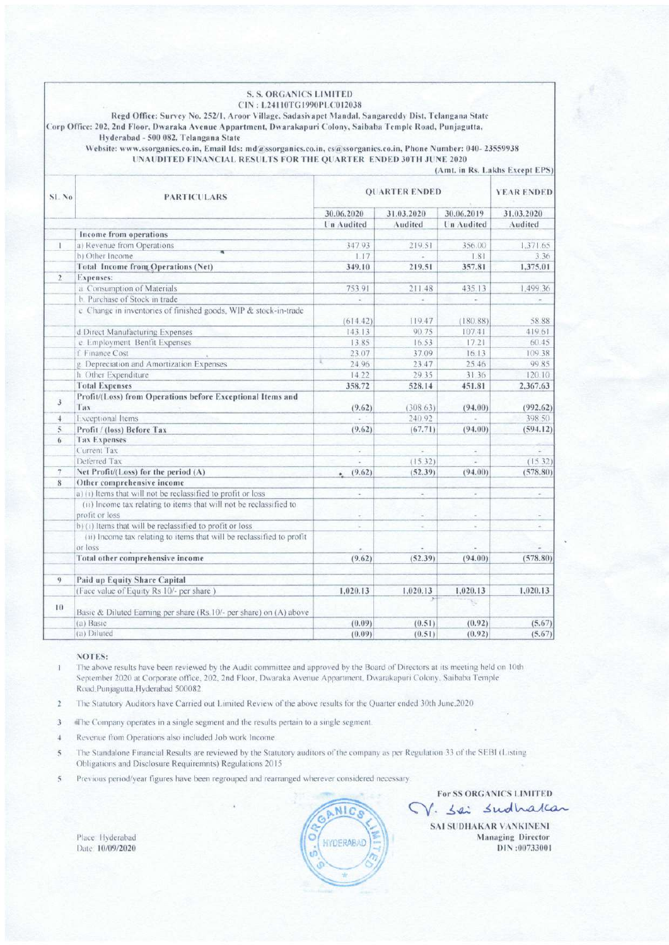|                                                                                                                                                                                                                      | <b>S. S. ORGANICS LIMITED</b><br>CIN: L24110TG1990PLC012038<br>Regd Office: Survey No. 252/1, Aroor Village, Sadasivapet Mandal, Sangareddy Dist, Telangana State<br>Corp Office: 202, 2nd Floor, Dwaraka Avenue Appartment, Dwarakapuri Colony, Saibaba Temple Road, Punjagutta,<br>Hyderabad - 500 082. Telangana State |                      |            |                   |                          |
|----------------------------------------------------------------------------------------------------------------------------------------------------------------------------------------------------------------------|---------------------------------------------------------------------------------------------------------------------------------------------------------------------------------------------------------------------------------------------------------------------------------------------------------------------------|----------------------|------------|-------------------|--------------------------|
| Website: www.ssorganics.co.in, Email Ids: md@ssorganics.co.in, cs@ssorganics.co.in, Phone Number: 040-23559938<br>UNAUDITED FINANCIAL RESULTS FOR THE QUARTER ENDED 30TH JUNE 2020<br>(Amt. in Rs. Lakhs Except EPS) |                                                                                                                                                                                                                                                                                                                           |                      |            |                   |                          |
| <b>SL No</b>                                                                                                                                                                                                         | <b>PARTICULARS</b>                                                                                                                                                                                                                                                                                                        | <b>OUARTER ENDED</b> |            |                   | <b>YEAR ENDED</b>        |
|                                                                                                                                                                                                                      |                                                                                                                                                                                                                                                                                                                           | 30.06.2020           | 31.03.2020 | 30.06.2019        | 31.03.2020               |
|                                                                                                                                                                                                                      |                                                                                                                                                                                                                                                                                                                           | Un Audited           | Audited    | <b>Un Audited</b> | Audited                  |
|                                                                                                                                                                                                                      | Income from operations                                                                                                                                                                                                                                                                                                    |                      |            |                   |                          |
| $\mathbf{1}$                                                                                                                                                                                                         | a) Revenue from Operations                                                                                                                                                                                                                                                                                                | 347.93               | 219.51     | 356.00            | 1.371.65                 |
|                                                                                                                                                                                                                      | b) Other Income                                                                                                                                                                                                                                                                                                           | 1.17                 |            | 1.81              | 3.36                     |
|                                                                                                                                                                                                                      | <b>Total Income from Operations (Net)</b>                                                                                                                                                                                                                                                                                 | 349.10               | 219.51     | 357.81            | 1,375.01                 |
| $\overline{2}$                                                                                                                                                                                                       | Expenses:                                                                                                                                                                                                                                                                                                                 |                      |            |                   |                          |
|                                                                                                                                                                                                                      | a Consumption of Materials                                                                                                                                                                                                                                                                                                | 75391                | 211.48     | 435.13            | 1.499.36                 |
|                                                                                                                                                                                                                      | b. Purchase of Stock in trade                                                                                                                                                                                                                                                                                             | R                    | $\omega$   | ä,                | ×                        |
|                                                                                                                                                                                                                      | c Change in inventories of finished goods, WIP & stock-in-trade                                                                                                                                                                                                                                                           | (614.42)             | 119.47     | (180.88)          | 58.88                    |
|                                                                                                                                                                                                                      | d Direct Manufacturing Expenses                                                                                                                                                                                                                                                                                           | 143.13               | 90.75      | 107.41            | 419.61                   |
|                                                                                                                                                                                                                      | e. Employment Benfit Expenses                                                                                                                                                                                                                                                                                             | 13.85                | 16.53      | 17.21             | 60.45                    |
|                                                                                                                                                                                                                      | f Finance Cost                                                                                                                                                                                                                                                                                                            | 23.07                | 37.09      | 16.13             | 109.38                   |
|                                                                                                                                                                                                                      | g. Depreciation and Amortization Expenses                                                                                                                                                                                                                                                                                 | τ<br>24.96           | 23.47      | 25.46             | 99.85                    |
|                                                                                                                                                                                                                      | h. Other Expenditure                                                                                                                                                                                                                                                                                                      | 14.22                | 29.35      | 31.36             | 120.10                   |
|                                                                                                                                                                                                                      | <b>Total Expenses</b>                                                                                                                                                                                                                                                                                                     | 358.72               | 528.14     | 451.81            | 2,367.63                 |
| $\mathbf{3}$                                                                                                                                                                                                         | Profit/(Loss) from Operations before Exceptional Items and<br>Tax                                                                                                                                                                                                                                                         | (9.62)               | (308.63)   | (94.00)           | (992.62)                 |
| $\overline{4}$                                                                                                                                                                                                       | <b>Exceptional Items</b>                                                                                                                                                                                                                                                                                                  |                      | 240.92     |                   | 398.50                   |
| 5.                                                                                                                                                                                                                   | Profit / (loss) Before Tax                                                                                                                                                                                                                                                                                                | (9.62)               | (67.71)    | (94.00)           | (594.12)                 |
| 6                                                                                                                                                                                                                    | <b>Tax Expenses</b>                                                                                                                                                                                                                                                                                                       |                      |            |                   |                          |
|                                                                                                                                                                                                                      | Current Tax                                                                                                                                                                                                                                                                                                               | ù,                   | ś.         | ä,                | ÷                        |
|                                                                                                                                                                                                                      | Deferred Tax                                                                                                                                                                                                                                                                                                              |                      | (15.32)    | ÷                 | (15.32)                  |
| $\overline{\tau}$                                                                                                                                                                                                    | Net Profit/(Loss) for the period (A)                                                                                                                                                                                                                                                                                      | (9.62)<br>۰          | (52.39)    | (94.00)           | (578.80)                 |
| 8                                                                                                                                                                                                                    | Other comprehensive income                                                                                                                                                                                                                                                                                                |                      |            |                   |                          |
|                                                                                                                                                                                                                      | a) (i) Items that will not be reclassified to profit or loss                                                                                                                                                                                                                                                              | L.                   | ä,         | r.                | $\overline{\phantom{a}}$ |
|                                                                                                                                                                                                                      | (ii) Income tax relating to items that will not be reclassified to                                                                                                                                                                                                                                                        |                      |            |                   |                          |
|                                                                                                                                                                                                                      | profit or loss                                                                                                                                                                                                                                                                                                            | u                    | ۷          |                   | ۷                        |
|                                                                                                                                                                                                                      | b) (i) Items that will be reclassified to profit or loss                                                                                                                                                                                                                                                                  | ٠                    | u,         | ü                 | ÷                        |
|                                                                                                                                                                                                                      | (ii) Income tax relating to items that will be reclassified to profit<br>or loss                                                                                                                                                                                                                                          | $\alpha$             | ٠          | u                 | ÷                        |
|                                                                                                                                                                                                                      | Total other comprehensive income                                                                                                                                                                                                                                                                                          | (9.62)               | (52.39)    | (94.00)           | (578.80)                 |
| 9                                                                                                                                                                                                                    | Paid up Equity Share Capital                                                                                                                                                                                                                                                                                              |                      |            |                   |                          |
|                                                                                                                                                                                                                      | (Face value of Equity Rs 10/- per share)                                                                                                                                                                                                                                                                                  | 1,020.13             | 1,020.13   | 1,020.13          | 1,020.13                 |
| 10                                                                                                                                                                                                                   | Basic & Diluted Earning per share (Rs.10/- per share) on (A) above                                                                                                                                                                                                                                                        |                      |            | ×                 |                          |
|                                                                                                                                                                                                                      | (a) Basic                                                                                                                                                                                                                                                                                                                 | (0.09)               | (0.51)     | (0.92)            | (5.67)                   |
|                                                                                                                                                                                                                      | (a) Diluted                                                                                                                                                                                                                                                                                                               | (0.09)               | (0.51)     | (0.92)            | (5.67)                   |

#### **NOTES:**

The above results have been reviewed by the Audit committee and approved by the Board of Directors at its meeting held on 10th  $\mathbf{I}$ September 2020 at Corporate office, 202, 2nd Floor, Dwaraka Avenue Appartment, Dwarakapuri Colony, Saibaba Temple Road, Punjagutta, Hyderabad 500082

- The Statutory Auditors have Carried out Limited Review of the above results for the Quarter ended 30th June, 2020  $\overline{2}$
- $\overline{\mathbf{3}}$ The Company operates in a single segment and the results pertain to a single segment.
- $\ddot{\phantom{1}}$ Revenue from Operations also included Job work Income.
- The Standalone Financial Results are reviewed by the Statutory auditors of the company as per Regulation 33 of the SEBI (Listing  $\overline{5}$ Obligations and Disclosure Requiremnts) Regulations 2015
- $\tilde{\mathcal{S}}$ Previous period/year figures have been regrouped and rearranged wherever considered necessary.

Place Hyderabad Date: 10/09/2020



V. Sai Sudhakan SAI SUDHAKAR VANKINENI **Managing Director** DIN:00733001

**For SS ORGANICS LIMITED**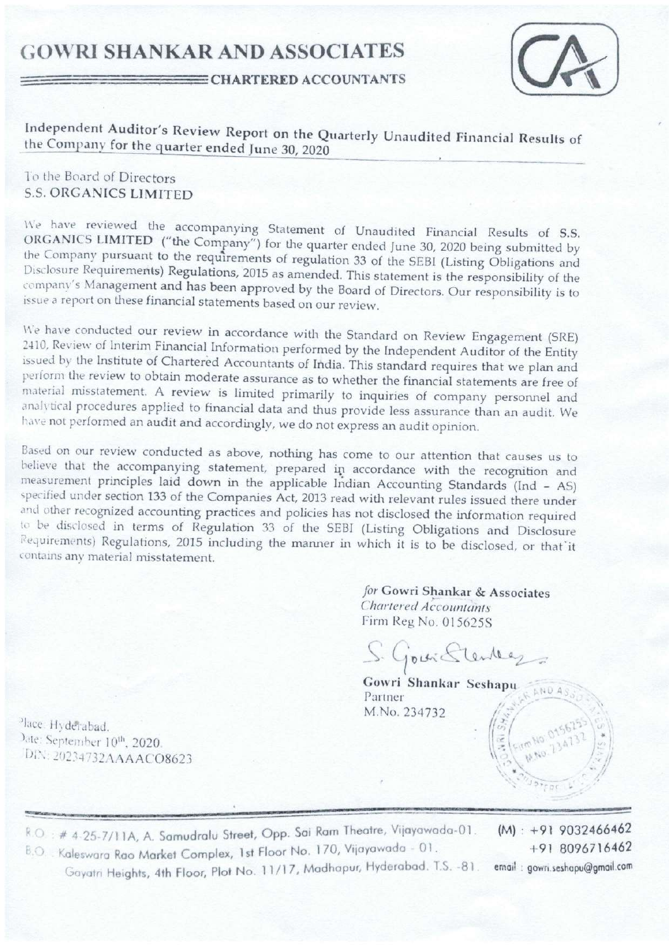# **GOWRI SHANKAR AND ASSOCIATES**



#### **EXECUTE CHARTERED ACCOUNTANTS**

Independent Auditor's Review Report on the Quarterly Unaudited Financial Results of the Company for the quarter ended June 30, 2020

## To the Board of Directors **S.S. ORGANICS LIMITED**

We have reviewed the accompanying Statement of Unaudited Financial Results of S.S. ORGANICS LIMITED ("the Company") for the quarter ended June 30, 2020 being submitted by the Company pursuant to the requirements of regulation 33 of the SEBI (Listing Obligations and Disclosure Requirements) Regulations, 2015 as amended. This statement is the responsibility of the company's Management and has been approved by the Board of Directors. Our responsibility is to issue a report on these financial statements based on our review.

We have conducted our review in accordance with the Standard on Review Engagement (SRE) 2410, Review of Interim Financial Information performed by the Independent Auditor of the Entity issued by the Institute of Chartered Accountants of India. This standard requires that we plan and perform the review to obtain moderate assurance as to whether the financial statements are free of material misstatement. A review is limited primarily to inquiries of company personnel and analytical procedures applied to financial data and thus provide less assurance than an audit. We have not performed an audit and accordingly, we do not express an audit opinion.

Based on our review conducted as above, nothing has come to our attention that causes us to believe that the accompanying statement, prepared in accordance with the recognition and measurement principles laid down in the applicable Indian Accounting Standards (Ind - AS) specified under section 133 of the Companies Act, 2013 read with relevant rules issued there under and other recognized accounting practices and policies has not disclosed the information required to be disclosed in terms of Regulation 33 of the SEBI (Listing Obligations and Disclosure Requirements) Regulations, 2015 including the manner in which it is to be disclosed, or that it contains any material misstatement.

> for Gowri Shankar & Associates Chartered Accountants Firm Reg No. 015625S

S. Govic Stenders

Gowri Shankar Seshapu Partner M.No. 234732

place. Hyderabad. Date: September 10th, 2020. DIN: 20234732AAAACO8623

R.O.: # 4-25-7/11A, A. Samudralu Street, Opp. Sai Ram Theatre, Vijayawada-01.

B.O. : Kaleswara Rao Market Complex, 1st Floor No. 170, Vijayawada - 01. Gayatri Heights, 4th Floor, Plot No. 11/17, Madhapur, Hyderabad. T.S. -81.

 $(M): +919032466462$ +91 8096716462 email: gowri.seshapu@gmail.com

**LNDA**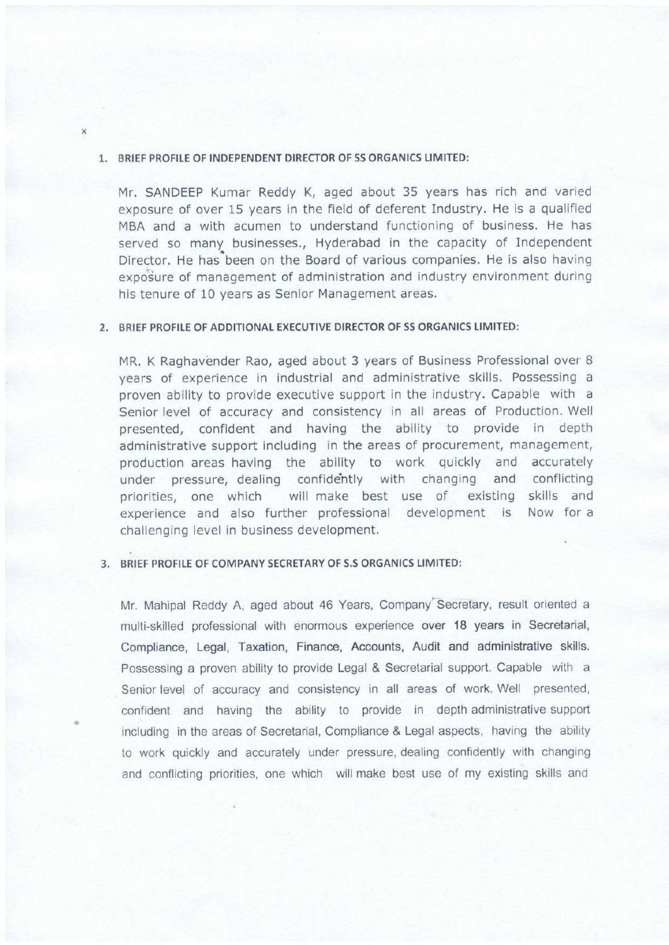#### 1. BRIEF PROFILE OF INDEPENDENT DIRECTOR OF SS ORGANICS LIMITED:

Mr. SANDEEP Kumar Reddy K, aged about 35 years has rich and varied exposure of over 15 years in the field of deferent Industry. He is a qualified MBA and a with acumen to understand functioning of business, He has served so many businesses., Hyderabad in the capacity of Independent Director. He has been on the Board of various companies. He is also having exposure of management of administration and industry environment during his tenure of 10 years as Senior Management areas.

#### 2, BRIEF PROFILE OF ADDITIONAL EXECUTIVE DIRECTOR OF SS ORGANICS LIMITED:

MR, K Raghavender Rao, aged about 3 years of Business Professional over 8 years of experience in industrial and administrative skills. Possessing <sup>a</sup> proven ability to provide executive support in the industry. Capable with <sup>a</sup> Senior level of accuracy and consistency in all areas of Production. Well presented, confident and having the ability to provide in depth administrative support including in the areas of procurement, management, production areas having the ability to work quickly and accurately under pressure, dealing confidehtly with changing and conflicting priorities, one which will make best use of existing skills and experience and also further professlonal development is Now for <sup>a</sup> challenging level in business development,

#### 3. BRIEF PROFILE OF COMPANY SECRETARY OF S.S ORGANICS LIMITED:

Mr. Mahipal Reddy A, aged about 46 Years, Company'Secretary, result oriented a multi-skilled professional with enormous experience over 18 years in Secretarial, Compliance, Legal, Taxation, Finance, Accounts, Audit and administrative skills. Possessing a proven ability to provide Legal & Secretarial support. Capable with <sup>a</sup> Senior level of accuracy and consistency in all areas of work. Well presented, confident and having the ability to provide in depth administrative support including in the areas of Secretarial, Compliance & Legal aspects, having the ability to work quickly and accurately under pressure, dealing confidently with changing and conflicting priorities, one which will make best use of my existing skills and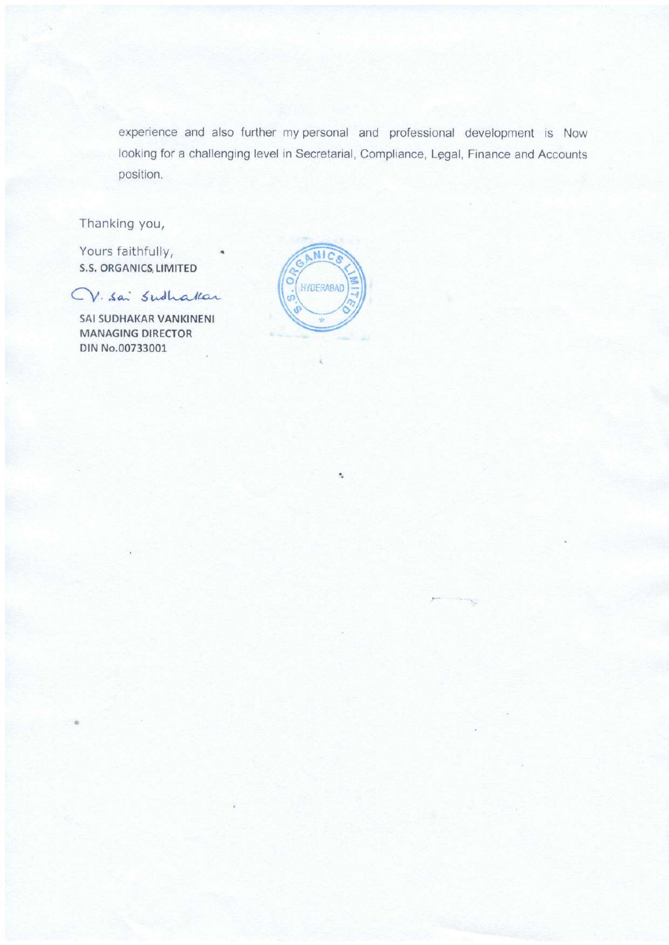experience and also further my personal and professional development is Now looking for a challenging level in Secretarial, Compliance, Legal, Finance and Accounts position.

Thanking you,

Yours faithfully, S.S. ORGANICS, LIMITED

 $CV.$  Sai Sudhakar

SAI SUDHAKAR VANKINENI MANAGING DIRECTOR DIN No.00733001,



۰.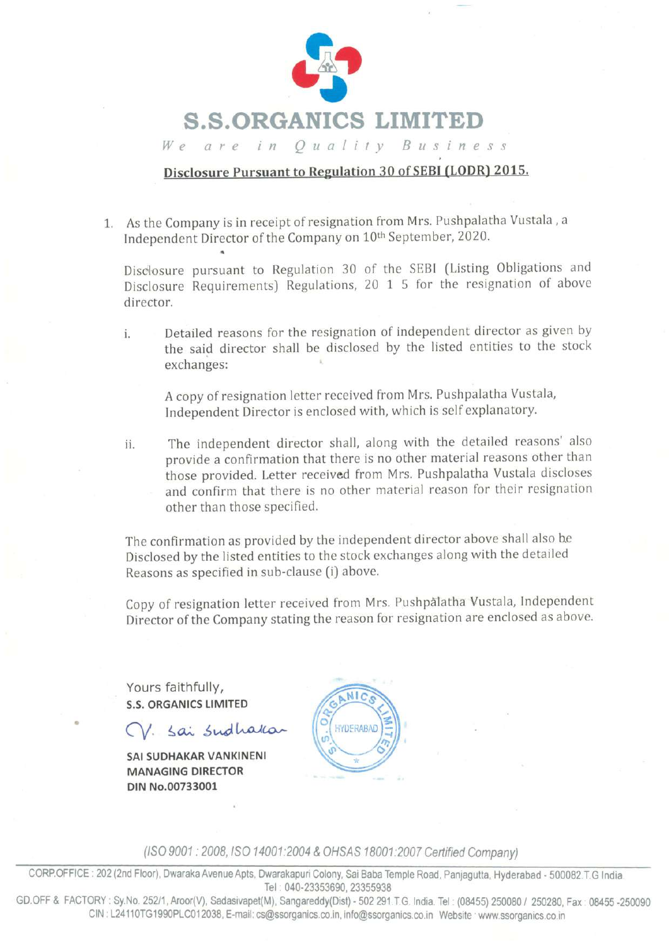

We are in Quality Business

### Disclosure Pursuant to Regulation 30 of SEBI (LODR) 2015.

L As the Company is in receipt of resignation from Mrs. Pushpalatha Vustala , <sup>a</sup> Independent Director of the Company on 10<sup>th</sup> September, 2020.

Disclosure pursuant to Regulation 30 of the SEBI (Listing Obligations and Disclosure Requirements) Regulations, 20 1 5 for the resignation of above director.

i. Detailed reasons for the resignation of independent director as given by the said director shall be disclosed by the listed entities to the stock exchanges:

A copy of resignation letter received from Mrs. Pushpalatha Vustala, Independent Director is enclosed with, which is self explanatory.

ii. The independent director shall, along with the detailed reasons' also provide a confirmation that there is no other material reasons other than those provided. Letter received from Mrs. Pushpalatha Vustala discloses and confirm that there is no other material reason for their resignation other than those specified.

The confirmation as provided by the independent director above shall also he Disclosed by the listed entities to the stock exchanges along with the detailed Reasons as specified in sub-clause (i) above.

Copy of resignation letter received from Mrs. Pushpalatha Vustala, Independent Director of the Company stating the reason for resignation are enclosed as above.

Yours faithfully, S.S. ORGANICS LIMITED

V. Sai Sudhak

SAI SUDHAKAR VANKINENI MANAGING DIRECTOR DIN No.00733001

**HYDERABAD** 

USO9001 :2008,15O 14001:2004 &OHSAS 18001:2007 Certified Company)

CORP.OFFICE: 202 (2nd Floor), Dwaraka Avenue Apts, Dwarakapuri Colony, Sai Baba Temple Road, Panjagutta, Hyderabad - 500082.T.G India. Tel : 040-23353690, 23355938

GD.OFF & FACTORY: Sy.No. 252/1, Aroor(V), Sadasivapet(M), Sangareddy(Dist) - 502 291.T.G. India. Tel: (08455) 250080 / 250280, Fax: 08455 -250090 CIN:L24110TG1990PLC012038, E-mail: cs@ssorganics.co.in, info@ssorganics.co.in Website www.ssorganics.co.in